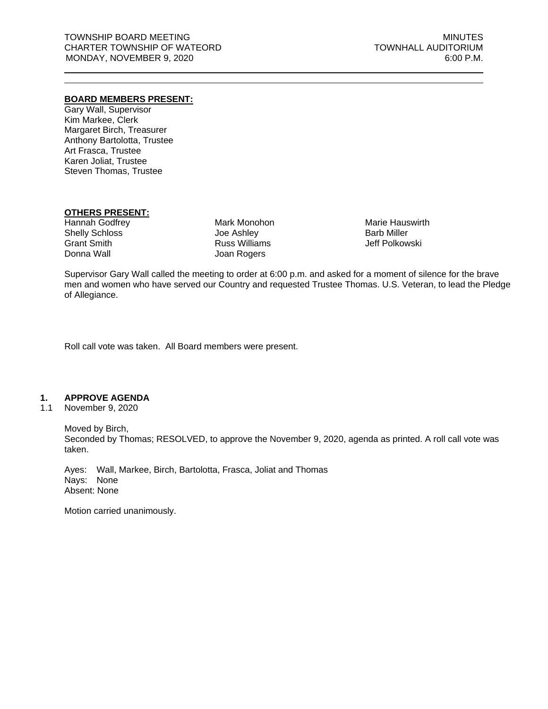## **BOARD MEMBERS PRESENT:**

Gary Wall, Supervisor Kim Markee, Clerk Margaret Birch, Treasurer Anthony Bartolotta, Trustee Art Frasca, Trustee Karen Joliat, Trustee Steven Thomas, Trustee

## **OTHERS PRESENT:**

Hannah Godfrey Shelly Schloss Grant Smith Donna Wall

Mark Monohon Joe Ashley Russ Williams Joan Rogers

Marie Hauswirth Barb Miller Jeff Polkowski

Supervisor Gary Wall called the meeting to order at 6:00 p.m. and asked for a moment of silence for the brave men and women who have served our Country and requested Trustee Thomas. U.S. Veteran, to lead the Pledge of Allegiance.

Roll call vote was taken. All Board members were present.

## **1. APPROVE AGENDA**

1.1 November 9, 2020

Moved by Birch, Seconded by Thomas; RESOLVED, to approve the November 9, 2020, agenda as printed. A roll call vote was taken.

Ayes: Wall, Markee, Birch, Bartolotta, Frasca, Joliat and Thomas Nays: None Absent: None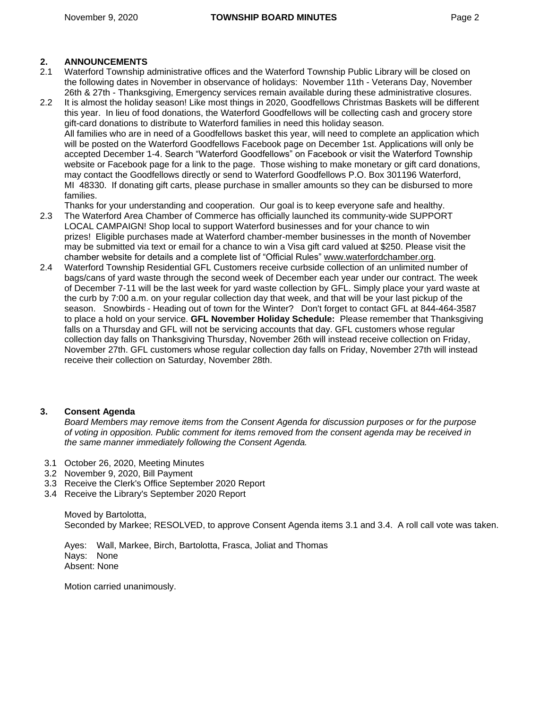# **2. ANNOUNCEMENTS**

- 2.1 Waterford Township administrative offices and the Waterford Township Public Library will be closed on the following dates in November in observance of holidays: November 11th - Veterans Day, November 26th & 27th - Thanksgiving, Emergency services remain available during these administrative closures.
- 2.2 It is almost the holiday season! Like most things in 2020, Goodfellows Christmas Baskets will be different this year. In lieu of food donations, the Waterford Goodfellows will be collecting cash and grocery store gift-card donations to distribute to Waterford families in need this holiday season. All families who are in need of a Goodfellows basket this year, will need to complete an application which will be posted on the Waterford Goodfellows Facebook page on December 1st. Applications will only be accepted December 1-4. Search "Waterford Goodfellows" on Facebook or visit the Waterford Township website or Facebook page for a link to the page. Those wishing to make monetary or gift card donations, may contact the Goodfellows directly or send to Waterford Goodfellows P.O. Box 301196 Waterford, MI 48330. If donating gift carts, please purchase in smaller amounts so they can be disbursed to more families.

Thanks for your understanding and cooperation. Our goal is to keep everyone safe and healthy.

- 2.3 The Waterford Area Chamber of Commerce has officially launched its community-wide SUPPORT LOCAL CAMPAIGN! Shop local to support Waterford businesses and for your chance to win prizes! Eligible purchases made at Waterford chamber-member businesses in the month of November may be submitted via text or email for a chance to win a Visa gift card valued at \$250. Please visit the chamber website for details and a complete list of "Official Rules" [www.waterfordchamber.org.](http://www.waterfordchamber.org/)
- 2.4 Waterford Township Residential GFL Customers receive curbside collection of an unlimited number of bags/cans of yard waste through the second week of December each year under our contract. The week of December 7-11 will be the last week for yard waste collection by GFL. Simply place your yard waste at the curb by 7:00 a.m. on your regular collection day that week, and that will be your last pickup of the season. Snowbirds - Heading out of town for the Winter? Don't forget to contact GFL at 844-464-3587 to place a hold on your service. **GFL November Holiday Schedule:** Please remember that Thanksgiving falls on a Thursday and GFL will not be servicing accounts that day. GFL customers whose regular collection day falls on Thanksgiving Thursday, November 26th will instead receive collection on Friday, November 27th. GFL customers whose regular collection day falls on Friday, November 27th will instead receive their collection on Saturday, November 28th.

# **3. Consent Agenda**

*Board Members may remove items from the Consent Agenda for discussion purposes or for the purpose of voting in opposition. Public comment for items removed from the consent agenda may be received in the same manner immediately following the Consent Agenda.*

- 3.1 October 26, 2020, Meeting Minutes
- 3.2 November 9, 2020, Bill Payment
- 3.3 Receive the Clerk's Office September 2020 Report
- 3.4 Receive the Library's September 2020 Report

Moved by Bartolotta, Seconded by Markee; RESOLVED, to approve Consent Agenda items 3.1 and 3.4. A roll call vote was taken.

Ayes: Wall, Markee, Birch, Bartolotta, Frasca, Joliat and Thomas Nays: None Absent: None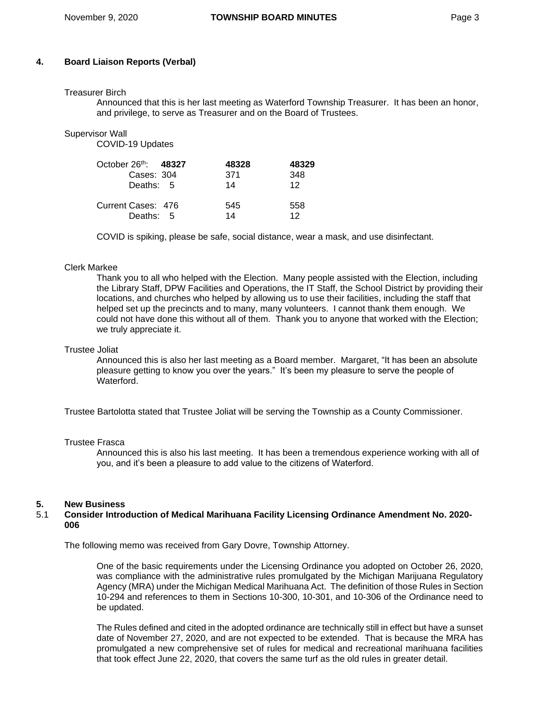## **4. Board Liaison Reports (Verbal)**

#### Treasurer Birch

Announced that this is her last meeting as Waterford Township Treasurer. It has been an honor, and privilege, to serve as Treasurer and on the Board of Trustees.

Supervisor Wall

COVID-19 Updates

| October $26th$ : 48327 | 48328 | 48329 |
|------------------------|-------|-------|
| Cases: 304             | 371   | 348   |
| Deaths: 5              | 14    | 12    |
| Current Cases: 476     | 545   | 558   |
| Deaths: 5              | 14    | 12    |

COVID is spiking, please be safe, social distance, wear a mask, and use disinfectant.

#### Clerk Markee

Thank you to all who helped with the Election. Many people assisted with the Election, including the Library Staff, DPW Facilities and Operations, the IT Staff, the School District by providing their locations, and churches who helped by allowing us to use their facilities, including the staff that helped set up the precincts and to many, many volunteers. I cannot thank them enough. We could not have done this without all of them. Thank you to anyone that worked with the Election; we truly appreciate it.

#### Trustee Joliat

Announced this is also her last meeting as a Board member. Margaret, "It has been an absolute pleasure getting to know you over the years." It's been my pleasure to serve the people of Waterford.

Trustee Bartolotta stated that Trustee Joliat will be serving the Township as a County Commissioner.

#### Trustee Frasca

Announced this is also his last meeting. It has been a tremendous experience working with all of you, and it's been a pleasure to add value to the citizens of Waterford.

## **5. New Business**

## 5.1 **Consider Introduction of Medical Marihuana Facility Licensing Ordinance Amendment No. 2020- 006**

The following memo was received from Gary Dovre, Township Attorney.

One of the basic requirements under the Licensing Ordinance you adopted on October 26, 2020, was compliance with the administrative rules promulgated by the Michigan Marijuana Regulatory Agency (MRA) under the Michigan Medical Marihuana Act. The definition of those Rules in Section 10-294 and references to them in Sections 10-300, 10-301, and 10-306 of the Ordinance need to be updated.

The Rules defined and cited in the adopted ordinance are technically still in effect but have a sunset date of November 27, 2020, and are not expected to be extended. That is because the MRA has promulgated a new comprehensive set of rules for medical and recreational marihuana facilities that took effect June 22, 2020, that covers the same turf as the old rules in greater detail.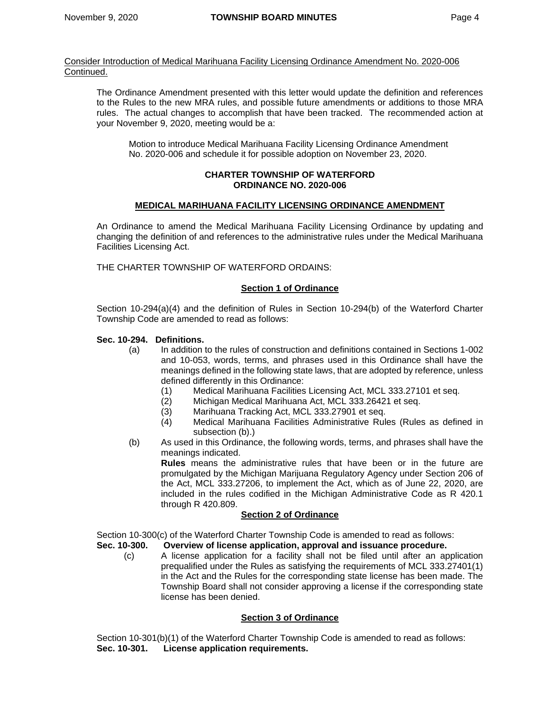Consider Introduction of Medical Marihuana Facility Licensing Ordinance Amendment No. 2020-006 Continued.

The Ordinance Amendment presented with this letter would update the definition and references to the Rules to the new MRA rules, and possible future amendments or additions to those MRA rules. The actual changes to accomplish that have been tracked. The recommended action at your November 9, 2020, meeting would be a:

Motion to introduce Medical Marihuana Facility Licensing Ordinance Amendment No. 2020-006 and schedule it for possible adoption on November 23, 2020.

#### **CHARTER TOWNSHIP OF WATERFORD ORDINANCE NO. 2020-006**

## **MEDICAL MARIHUANA FACILITY LICENSING ORDINANCE AMENDMENT**

An Ordinance to amend the Medical Marihuana Facility Licensing Ordinance by updating and changing the definition of and references to the administrative rules under the Medical Marihuana Facilities Licensing Act.

THE CHARTER TOWNSHIP OF WATERFORD ORDAINS:

## **Section 1 of Ordinance**

Section 10-294(a)(4) and the definition of Rules in Section 10-294(b) of the Waterford Charter Township Code are amended to read as follows:

# **Sec. 10-294. Definitions.**

- (a) In addition to the rules of construction and definitions contained in Sections 1-002 and 10-053, words, terms, and phrases used in this Ordinance shall have the meanings defined in the following state laws, that are adopted by reference, unless defined differently in this Ordinance:
	- (1) Medical Marihuana Facilities Licensing Act, MCL 333.27101 et seq.<br>(2) Michigan Medical Marihuana Act, MCL 333.26421 et seq.
	- Michigan Medical Marihuana Act, MCL 333.26421 et seg.
	- (3) Marihuana Tracking Act, MCL 333.27901 et seq.
	- (4) Medical Marihuana Facilities Administrative Rules (Rules as defined in subsection (b).)
- (b) As used in this Ordinance, the following words, terms, and phrases shall have the meanings indicated.

**Rules** means the administrative rules that have been or in the future are promulgated by the Michigan Marijuana Regulatory Agency under Section 206 of the Act, MCL 333.27206, to implement the Act, which as of June 22, 2020, are included in the rules codified in the Michigan Administrative Code as R 420.1 through R 420.809.

## **Section 2 of Ordinance**

Section 10-300(c) of the Waterford Charter Township Code is amended to read as follows:

- **Sec. 10-300. Overview of license application, approval and issuance procedure.**
	- (c) A license application for a facility shall not be filed until after an application prequalified under the Rules as satisfying the requirements of MCL 333.27401(1) in the Act and the Rules for the corresponding state license has been made. The Township Board shall not consider approving a license if the corresponding state license has been denied.

## **Section 3 of Ordinance**

Section 10-301(b)(1) of the Waterford Charter Township Code is amended to read as follows: **Sec. 10-301. License application requirements.**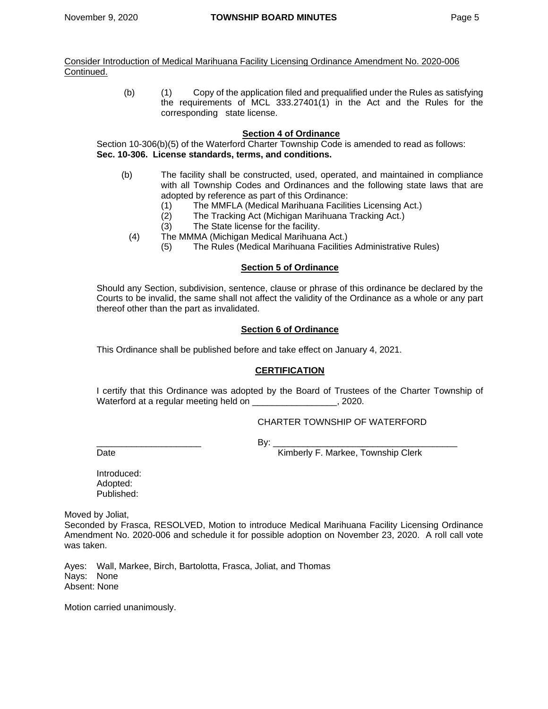Consider Introduction of Medical Marihuana Facility Licensing Ordinance Amendment No. 2020-006 Continued.

> (b) (1) Copy of the application filed and prequalified under the Rules as satisfying the requirements of MCL 333.27401(1) in the Act and the Rules for the corresponding state license.

## **Section 4 of Ordinance**

Section 10-306(b)(5) of the Waterford Charter Township Code is amended to read as follows: **Sec. 10-306. License standards, terms, and conditions.**

- (b) The facility shall be constructed, used, operated, and maintained in compliance with all Township Codes and Ordinances and the following state laws that are adopted by reference as part of this Ordinance:
	- (1) The MMFLA (Medical Marihuana Facilities Licensing Act.)
	- (2) The Tracking Act (Michigan Marihuana Tracking Act.)
	- (3) The State license for the facility.
	- (4) The MMMA (Michigan Medical Marihuana Act.)
		- (5) The Rules (Medical Marihuana Facilities Administrative Rules)

## **Section 5 of Ordinance**

Should any Section, subdivision, sentence, clause or phrase of this ordinance be declared by the Courts to be invalid, the same shall not affect the validity of the Ordinance as a whole or any part thereof other than the part as invalidated.

## **Section 6 of Ordinance**

This Ordinance shall be published before and take effect on January 4, 2021.

## **CERTIFICATION**

I certify that this Ordinance was adopted by the Board of Trustees of the Charter Township of Waterford at a regular meeting held on \_\_\_\_\_\_\_\_\_\_\_\_\_\_\_\_\_\_\_, 2020.

## CHARTER TOWNSHIP OF WATERFORD

\_\_\_\_\_\_\_\_\_\_\_\_\_\_\_\_\_\_\_\_\_ By: \_\_\_\_\_\_\_\_\_\_\_\_\_\_\_\_\_\_\_\_\_\_\_\_\_\_\_\_\_\_\_\_\_\_\_\_\_

Date **Date** Kimberly F. Markee, Township Clerk

Introduced: Adopted: Published:

Moved by Joliat,

Seconded by Frasca, RESOLVED, Motion to introduce Medical Marihuana Facility Licensing Ordinance Amendment No. 2020-006 and schedule it for possible adoption on November 23, 2020.A roll call vote was taken.

Ayes: Wall, Markee, Birch, Bartolotta, Frasca, Joliat, and Thomas Nays: None Absent: None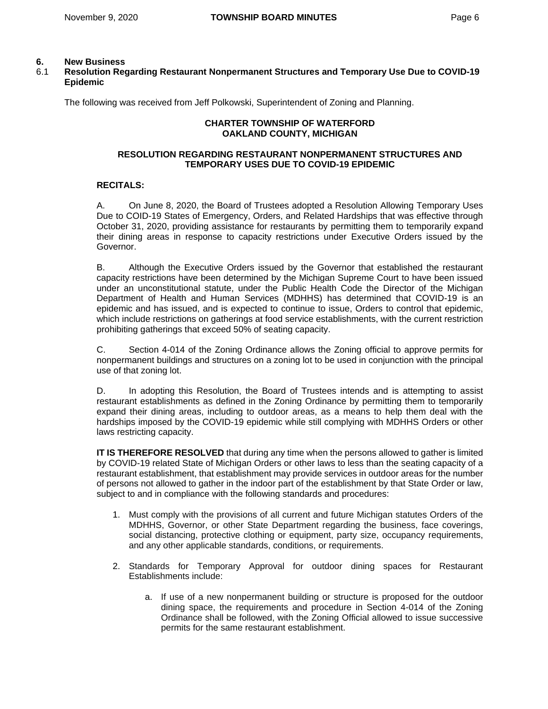## **6. New Business**

## 6.1 **Resolution Regarding Restaurant Nonpermanent Structures and Temporary Use Due to COVID-19 Epidemic**

The following was received from Jeff Polkowski, Superintendent of Zoning and Planning.

# **CHARTER TOWNSHIP OF WATERFORD OAKLAND COUNTY, MICHIGAN**

## **RESOLUTION REGARDING RESTAURANT NONPERMANENT STRUCTURES AND TEMPORARY USES DUE TO COVID-19 EPIDEMIC**

## **RECITALS:**

A. On June 8, 2020, the Board of Trustees adopted a Resolution Allowing Temporary Uses Due to COID-19 States of Emergency, Orders, and Related Hardships that was effective through October 31, 2020, providing assistance for restaurants by permitting them to temporarily expand their dining areas in response to capacity restrictions under Executive Orders issued by the Governor.

B. Although the Executive Orders issued by the Governor that established the restaurant capacity restrictions have been determined by the Michigan Supreme Court to have been issued under an unconstitutional statute, under the Public Health Code the Director of the Michigan Department of Health and Human Services (MDHHS) has determined that COVID-19 is an epidemic and has issued, and is expected to continue to issue, Orders to control that epidemic, which include restrictions on gatherings at food service establishments, with the current restriction prohibiting gatherings that exceed 50% of seating capacity.

C. Section 4-014 of the Zoning Ordinance allows the Zoning official to approve permits for nonpermanent buildings and structures on a zoning lot to be used in conjunction with the principal use of that zoning lot.

D. In adopting this Resolution, the Board of Trustees intends and is attempting to assist restaurant establishments as defined in the Zoning Ordinance by permitting them to temporarily expand their dining areas, including to outdoor areas, as a means to help them deal with the hardships imposed by the COVID-19 epidemic while still complying with MDHHS Orders or other laws restricting capacity.

**IT IS THEREFORE RESOLVED** that during any time when the persons allowed to gather is limited by COVID-19 related State of Michigan Orders or other laws to less than the seating capacity of a restaurant establishment, that establishment may provide services in outdoor areas for the number of persons not allowed to gather in the indoor part of the establishment by that State Order or law, subject to and in compliance with the following standards and procedures:

- 1. Must comply with the provisions of all current and future Michigan statutes Orders of the MDHHS, Governor, or other State Department regarding the business, face coverings, social distancing, protective clothing or equipment, party size, occupancy requirements, and any other applicable standards, conditions, or requirements.
- 2. Standards for Temporary Approval for outdoor dining spaces for Restaurant Establishments include:
	- a. If use of a new nonpermanent building or structure is proposed for the outdoor dining space, the requirements and procedure in Section 4-014 of the Zoning Ordinance shall be followed, with the Zoning Official allowed to issue successive permits for the same restaurant establishment.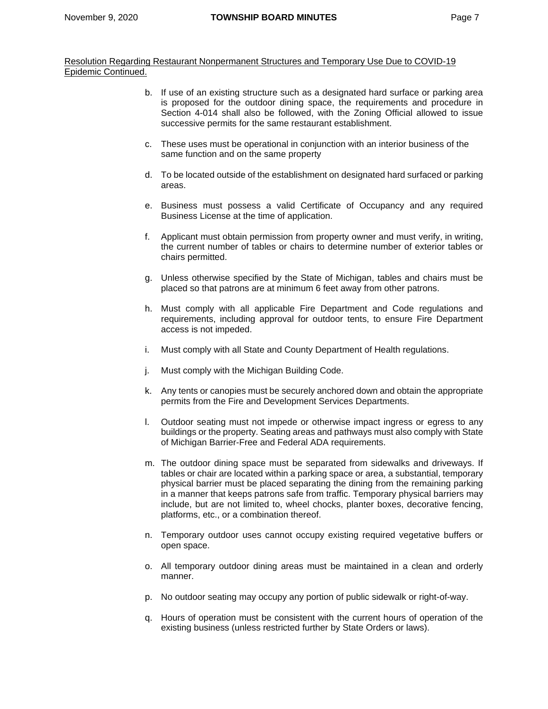Resolution Regarding Restaurant Nonpermanent Structures and Temporary Use Due to COVID-19 Epidemic Continued.

- b. If use of an existing structure such as a designated hard surface or parking area is proposed for the outdoor dining space, the requirements and procedure in Section 4-014 shall also be followed, with the Zoning Official allowed to issue successive permits for the same restaurant establishment.
- c. These uses must be operational in conjunction with an interior business of the same function and on the same property
- d. To be located outside of the establishment on designated hard surfaced or parking areas.
- e. Business must possess a valid Certificate of Occupancy and any required Business License at the time of application.
- f. Applicant must obtain permission from property owner and must verify, in writing, the current number of tables or chairs to determine number of exterior tables or chairs permitted.
- g. Unless otherwise specified by the State of Michigan, tables and chairs must be placed so that patrons are at minimum 6 feet away from other patrons.
- h. Must comply with all applicable Fire Department and Code regulations and requirements, including approval for outdoor tents, to ensure Fire Department access is not impeded.
- i. Must comply with all State and County Department of Health regulations.
- j. Must comply with the Michigan Building Code.
- k. Any tents or canopies must be securely anchored down and obtain the appropriate permits from the Fire and Development Services Departments.
- l. Outdoor seating must not impede or otherwise impact ingress or egress to any buildings or the property. Seating areas and pathways must also comply with State of Michigan Barrier-Free and Federal ADA requirements.
- m. The outdoor dining space must be separated from sidewalks and driveways. If tables or chair are located within a parking space or area, a substantial, temporary physical barrier must be placed separating the dining from the remaining parking in a manner that keeps patrons safe from traffic. Temporary physical barriers may include, but are not limited to, wheel chocks, planter boxes, decorative fencing, platforms, etc., or a combination thereof.
- n. Temporary outdoor uses cannot occupy existing required vegetative buffers or open space.
- o. All temporary outdoor dining areas must be maintained in a clean and orderly manner.
- p. No outdoor seating may occupy any portion of public sidewalk or right-of-way.
- q. Hours of operation must be consistent with the current hours of operation of the existing business (unless restricted further by State Orders or laws).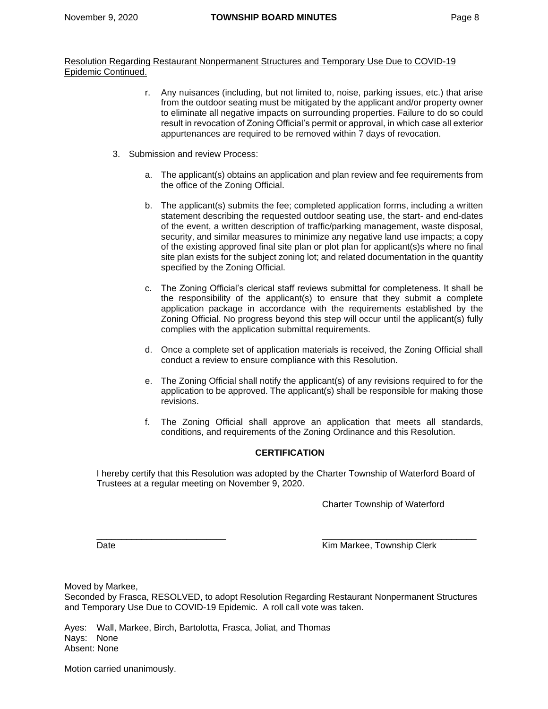Resolution Regarding Restaurant Nonpermanent Structures and Temporary Use Due to COVID-19 Epidemic Continued.

- r. Any nuisances (including, but not limited to, noise, parking issues, etc.) that arise from the outdoor seating must be mitigated by the applicant and/or property owner to eliminate all negative impacts on surrounding properties. Failure to do so could result in revocation of Zoning Official's permit or approval, in which case all exterior appurtenances are required to be removed within 7 days of revocation.
- 3. Submission and review Process:
	- a. The applicant(s) obtains an application and plan review and fee requirements from the office of the Zoning Official.
	- b. The applicant(s) submits the fee; completed application forms, including a written statement describing the requested outdoor seating use, the start- and end-dates of the event, a written description of traffic/parking management, waste disposal, security, and similar measures to minimize any negative land use impacts; a copy of the existing approved final site plan or plot plan for applicant(s)s where no final site plan exists for the subject zoning lot; and related documentation in the quantity specified by the Zoning Official.
	- c. The Zoning Official's clerical staff reviews submittal for completeness. It shall be the responsibility of the applicant(s) to ensure that they submit a complete application package in accordance with the requirements established by the Zoning Official. No progress beyond this step will occur until the applicant(s) fully complies with the application submittal requirements.
	- d. Once a complete set of application materials is received, the Zoning Official shall conduct a review to ensure compliance with this Resolution.
	- e. The Zoning Official shall notify the applicant(s) of any revisions required to for the application to be approved. The applicant(s) shall be responsible for making those revisions.
	- f. The Zoning Official shall approve an application that meets all standards, conditions, and requirements of the Zoning Ordinance and this Resolution.

# **CERTIFICATION**

I hereby certify that this Resolution was adopted by the Charter Township of Waterford Board of Trustees at a regular meeting on November 9, 2020.

Charter Township of Waterford

 $\frac{\partial}{\partial x_i}$  , and the set of the set of the set of the set of the set of the set of the set of the set of the set of the set of the set of the set of the set of the set of the set of the set of the set of the set of the

Date **Contract Contract Contract Contract Contract Contract Contract Contract Contract Contract Contract Contract Contract Contract Contract Contract Contract Contract Contract Contract Contract Contract Contract Contract** 

Moved by Markee,

Seconded by Frasca, RESOLVED, to adopt Resolution Regarding Restaurant Nonpermanent Structures and Temporary Use Due to COVID-19 Epidemic. A roll call vote was taken.

Ayes: Wall, Markee, Birch, Bartolotta, Frasca, Joliat, and Thomas Nays: None Absent: None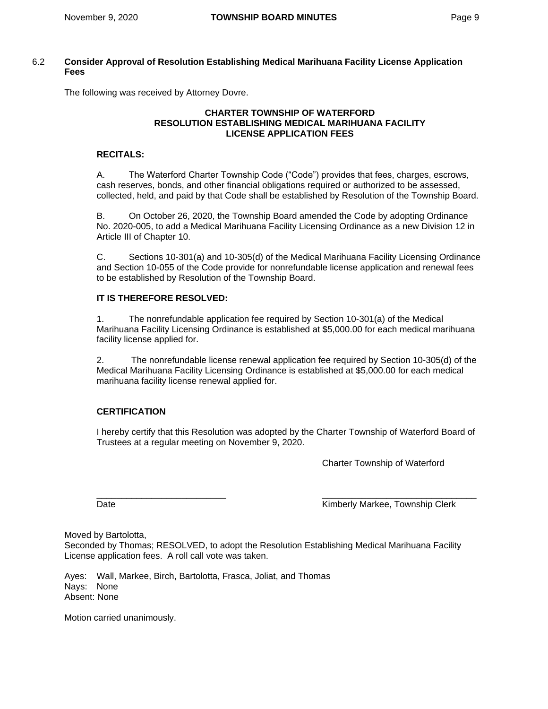## 6.2 **Consider Approval of Resolution Establishing Medical Marihuana Facility License Application Fees**

The following was received by Attorney Dovre.

## **CHARTER TOWNSHIP OF WATERFORD RESOLUTION ESTABLISHING MEDICAL MARIHUANA FACILITY LICENSE APPLICATION FEES**

# **RECITALS:**

A. The Waterford Charter Township Code ("Code") provides that fees, charges, escrows, cash reserves, bonds, and other financial obligations required or authorized to be assessed, collected, held, and paid by that Code shall be established by Resolution of the Township Board.

B. On October 26, 2020, the Township Board amended the Code by adopting Ordinance No. 2020-005, to add a Medical Marihuana Facility Licensing Ordinance as a new Division 12 in Article III of Chapter 10.

C. Sections 10-301(a) and 10-305(d) of the Medical Marihuana Facility Licensing Ordinance and Section 10-055 of the Code provide for nonrefundable license application and renewal fees to be established by Resolution of the Township Board.

## **IT IS THEREFORE RESOLVED:**

1. The nonrefundable application fee required by Section 10-301(a) of the Medical Marihuana Facility Licensing Ordinance is established at \$5,000.00 for each medical marihuana facility license applied for.

2. The nonrefundable license renewal application fee required by Section 10-305(d) of the Medical Marihuana Facility Licensing Ordinance is established at \$5,000.00 for each medical marihuana facility license renewal applied for.

# **CERTIFICATION**

I hereby certify that this Resolution was adopted by the Charter Township of Waterford Board of Trustees at a regular meeting on November 9, 2020.

Charter Township of Waterford

\_\_\_\_\_\_\_\_\_\_\_\_\_\_\_\_\_\_\_\_\_\_\_\_\_\_ \_\_\_\_\_\_\_\_\_\_\_\_\_\_\_\_\_\_\_\_\_\_\_\_\_\_\_\_\_\_\_

Date **Contract Contract Contract Contract Contract Contract Contract Contract Contract Contract Contract Contract Contract Contract Contract Contract Contract Contract Contract Contract Contract Contract Contract Contract** 

Moved by Bartolotta,

Seconded by Thomas; RESOLVED, to adopt the Resolution Establishing Medical Marihuana Facility License application fees. A roll call vote was taken.

Ayes: Wall, Markee, Birch, Bartolotta, Frasca, Joliat, and Thomas Nays: None Absent: None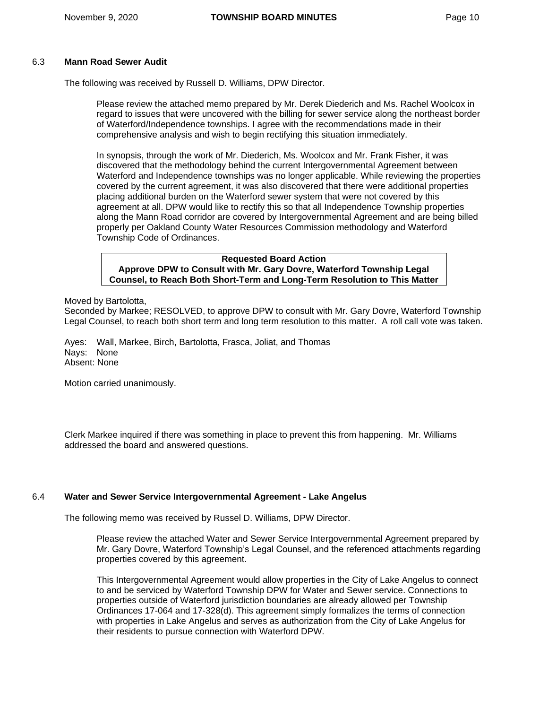## 6.3 **Mann Road Sewer Audit**

The following was received by Russell D. Williams, DPW Director.

Please review the attached memo prepared by Mr. Derek Diederich and Ms. Rachel Woolcox in regard to issues that were uncovered with the billing for sewer service along the northeast border of Waterford/Independence townships. I agree with the recommendations made in their comprehensive analysis and wish to begin rectifying this situation immediately.

In synopsis, through the work of Mr. Diederich, Ms. Woolcox and Mr. Frank Fisher, it was discovered that the methodology behind the current Intergovernmental Agreement between Waterford and Independence townships was no longer applicable. While reviewing the properties covered by the current agreement, it was also discovered that there were additional properties placing additional burden on the Waterford sewer system that were not covered by this agreement at all. DPW would like to rectify this so that all Independence Township properties along the Mann Road corridor are covered by Intergovernmental Agreement and are being billed properly per Oakland County Water Resources Commission methodology and Waterford Township Code of Ordinances.

**Requested Board Action Approve DPW to Consult with Mr. Gary Dovre, Waterford Township Legal Counsel, to Reach Both Short-Term and Long-Term Resolution to This Matter**

Moved by Bartolotta,

Seconded by Markee; RESOLVED, to approve DPW to consult with Mr. Gary Dovre, Waterford Township Legal Counsel, to reach both short term and long term resolution to this matter. A roll call vote was taken.

Ayes: Wall, Markee, Birch, Bartolotta, Frasca, Joliat, and Thomas Nays: None Absent: None

Motion carried unanimously.

Clerk Markee inquired if there was something in place to prevent this from happening. Mr. Williams addressed the board and answered questions.

## 6.4 **Water and Sewer Service Intergovernmental Agreement - Lake Angelus**

The following memo was received by Russel D. Williams, DPW Director.

Please review the attached Water and Sewer Service Intergovernmental Agreement prepared by Mr. Gary Dovre, Waterford Township's Legal Counsel, and the referenced attachments regarding properties covered by this agreement.

This Intergovernmental Agreement would allow properties in the City of Lake Angelus to connect to and be serviced by Waterford Township DPW for Water and Sewer service. Connections to properties outside of Waterford jurisdiction boundaries are already allowed per Township Ordinances 17-064 and 17-328(d). This agreement simply formalizes the terms of connection with properties in Lake Angelus and serves as authorization from the City of Lake Angelus for their residents to pursue connection with Waterford DPW.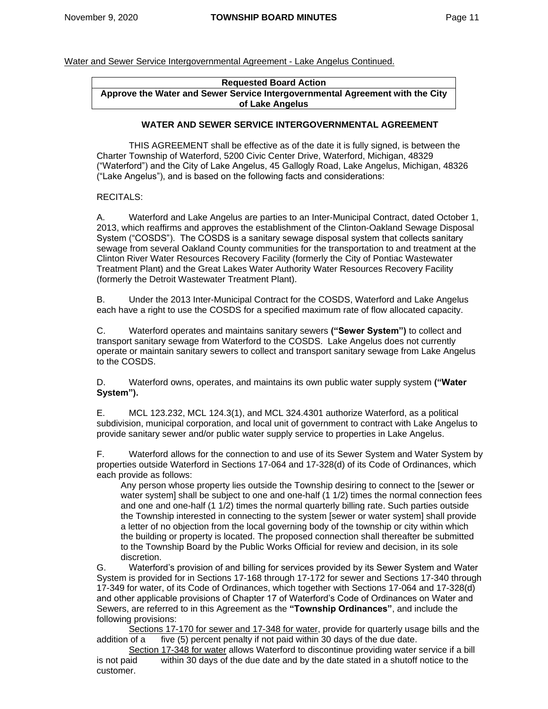# **Requested Board Action Approve the Water and Sewer Service Intergovernmental Agreement with the City of Lake Angelus**

## **WATER AND SEWER SERVICE INTERGOVERNMENTAL AGREEMENT**

THIS AGREEMENT shall be effective as of the date it is fully signed, is between the Charter Township of Waterford, 5200 Civic Center Drive, Waterford, Michigan, 48329 ("Waterford") and the City of Lake Angelus, 45 Gallogly Road, Lake Angelus, Michigan, 48326 ("Lake Angelus"), and is based on the following facts and considerations:

## RECITALS:

A. Waterford and Lake Angelus are parties to an Inter-Municipal Contract, dated October 1, 2013, which reaffirms and approves the establishment of the Clinton-Oakland Sewage Disposal System ("COSDS"). The COSDS is a sanitary sewage disposal system that collects sanitary sewage from several Oakland County communities for the transportation to and treatment at the Clinton River Water Resources Recovery Facility (formerly the City of Pontiac Wastewater Treatment Plant) and the Great Lakes Water Authority Water Resources Recovery Facility (formerly the Detroit Wastewater Treatment Plant).

B. Under the 2013 Inter-Municipal Contract for the COSDS, Waterford and Lake Angelus each have a right to use the COSDS for a specified maximum rate of flow allocated capacity.

C. Waterford operates and maintains sanitary sewers **("Sewer System")** to collect and transport sanitary sewage from Waterford to the COSDS. Lake Angelus does not currently operate or maintain sanitary sewers to collect and transport sanitary sewage from Lake Angelus to the COSDS.

D. Waterford owns, operates, and maintains its own public water supply system **("Water System").**

E. MCL 123.232, MCL 124.3(1), and MCL 324.4301 authorize Waterford, as a political subdivision, municipal corporation, and local unit of government to contract with Lake Angelus to provide sanitary sewer and/or public water supply service to properties in Lake Angelus.

F. Waterford allows for the connection to and use of its Sewer System and Water System by properties outside Waterford in Sections 17-064 and 17-328(d) of its Code of Ordinances, which each provide as follows:

Any person whose property lies outside the Township desiring to connect to the [sewer or water system] shall be subject to one and one-half (1 1/2) times the normal connection fees and one and one-half (1 1/2) times the normal quarterly billing rate. Such parties outside the Township interested in connecting to the system [sewer or water system] shall provide a letter of no objection from the local governing body of the township or city within which the building or property is located. The proposed connection shall thereafter be submitted to the Township Board by the Public Works Official for review and decision, in its sole discretion.

G. Waterford's provision of and billing for services provided by its Sewer System and Water System is provided for in Sections 17-168 through 17-172 for sewer and Sections 17-340 through 17-349 for water, of its Code of Ordinances, which together with Sections 17-064 and 17-328(d) and other applicable provisions of Chapter 17 of Waterford's Code of Ordinances on Water and Sewers, are referred to in this Agreement as the **"Township Ordinances"**, and include the following provisions:

Sections 17-170 for sewer and 17-348 for water, provide for quarterly usage bills and the addition of a five (5) percent penalty if not paid within 30 days of the due date.

Section 17-348 for water allows Waterford to discontinue providing water service if a bill is not paid within 30 days of the due date and by the date stated in a shutoff notice to the customer.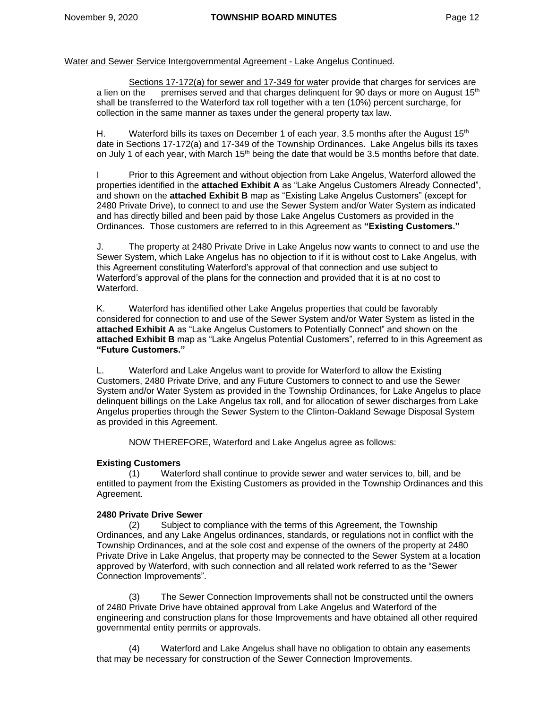Sections 17-172(a) for sewer and 17-349 for water provide that charges for services are a lien on the premises served and that charges delinguent for 90 days or more on August  $15<sup>th</sup>$ shall be transferred to the Waterford tax roll together with a ten (10%) percent surcharge, for collection in the same manner as taxes under the general property tax law.

H. Waterford bills its taxes on December 1 of each year, 3.5 months after the August  $15<sup>th</sup>$ date in Sections 17-172(a) and 17-349 of the Township Ordinances. Lake Angelus bills its taxes on July 1 of each year, with March  $15<sup>th</sup>$  being the date that would be 3.5 months before that date.

I Prior to this Agreement and without objection from Lake Angelus, Waterford allowed the properties identified in the **attached Exhibit A** as "Lake Angelus Customers Already Connected", and shown on the **attached Exhibit B** map as "Existing Lake Angelus Customers" (except for 2480 Private Drive), to connect to and use the Sewer System and/or Water System as indicated and has directly billed and been paid by those Lake Angelus Customers as provided in the Ordinances. Those customers are referred to in this Agreement as **"Existing Customers."**

J. The property at 2480 Private Drive in Lake Angelus now wants to connect to and use the Sewer System, which Lake Angelus has no objection to if it is without cost to Lake Angelus, with this Agreement constituting Waterford's approval of that connection and use subject to Waterford's approval of the plans for the connection and provided that it is at no cost to Waterford.

K. Waterford has identified other Lake Angelus properties that could be favorably considered for connection to and use of the Sewer System and/or Water System as listed in the **attached Exhibit A** as "Lake Angelus Customers to Potentially Connect" and shown on the **attached Exhibit B** map as "Lake Angelus Potential Customers", referred to in this Agreement as **"Future Customers."**

L. Waterford and Lake Angelus want to provide for Waterford to allow the Existing Customers, 2480 Private Drive, and any Future Customers to connect to and use the Sewer System and/or Water System as provided in the Township Ordinances, for Lake Angelus to place delinquent billings on the Lake Angelus tax roll, and for allocation of sewer discharges from Lake Angelus properties through the Sewer System to the Clinton-Oakland Sewage Disposal System as provided in this Agreement.

NOW THEREFORE, Waterford and Lake Angelus agree as follows:

# **Existing Customers**

(1) Waterford shall continue to provide sewer and water services to, bill, and be entitled to payment from the Existing Customers as provided in the Township Ordinances and this Agreement.

## **2480 Private Drive Sewer**

(2) Subject to compliance with the terms of this Agreement, the Township Ordinances, and any Lake Angelus ordinances, standards, or regulations not in conflict with the Township Ordinances, and at the sole cost and expense of the owners of the property at 2480 Private Drive in Lake Angelus, that property may be connected to the Sewer System at a location approved by Waterford, with such connection and all related work referred to as the "Sewer Connection Improvements".

(3) The Sewer Connection Improvements shall not be constructed until the owners of 2480 Private Drive have obtained approval from Lake Angelus and Waterford of the engineering and construction plans for those Improvements and have obtained all other required governmental entity permits or approvals.

(4) Waterford and Lake Angelus shall have no obligation to obtain any easements that may be necessary for construction of the Sewer Connection Improvements.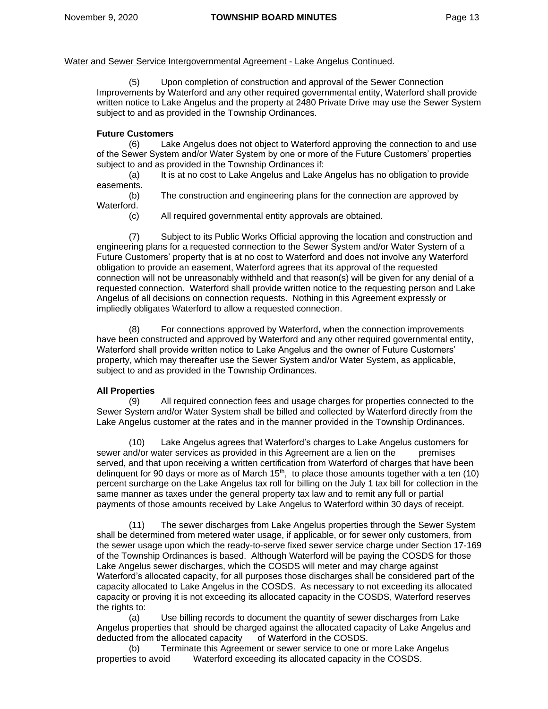(5) Upon completion of construction and approval of the Sewer Connection Improvements by Waterford and any other required governmental entity, Waterford shall provide written notice to Lake Angelus and the property at 2480 Private Drive may use the Sewer System subject to and as provided in the Township Ordinances.

## **Future Customers**

(6) Lake Angelus does not object to Waterford approving the connection to and use of the Sewer System and/or Water System by one or more of the Future Customers' properties subject to and as provided in the Township Ordinances if:

(a) It is at no cost to Lake Angelus and Lake Angelus has no obligation to provide easements.

(b) The construction and engineering plans for the connection are approved by Waterford.

(c) All required governmental entity approvals are obtained.

(7) Subject to its Public Works Official approving the location and construction and engineering plans for a requested connection to the Sewer System and/or Water System of a Future Customers' property that is at no cost to Waterford and does not involve any Waterford obligation to provide an easement, Waterford agrees that its approval of the requested connection will not be unreasonably withheld and that reason(s) will be given for any denial of a requested connection. Waterford shall provide written notice to the requesting person and Lake Angelus of all decisions on connection requests. Nothing in this Agreement expressly or impliedly obligates Waterford to allow a requested connection.

(8) For connections approved by Waterford, when the connection improvements have been constructed and approved by Waterford and any other required governmental entity, Waterford shall provide written notice to Lake Angelus and the owner of Future Customers' property, which may thereafter use the Sewer System and/or Water System, as applicable, subject to and as provided in the Township Ordinances.

# **All Properties**

(9) All required connection fees and usage charges for properties connected to the Sewer System and/or Water System shall be billed and collected by Waterford directly from the Lake Angelus customer at the rates and in the manner provided in the Township Ordinances.

(10) Lake Angelus agrees that Waterford's charges to Lake Angelus customers for sewer and/or water services as provided in this Agreement are a lien on the premises served, and that upon receiving a written certification from Waterford of charges that have been delinquent for 90 days or more as of March 15<sup>th</sup>, to place those amounts together with a ten (10) percent surcharge on the Lake Angelus tax roll for billing on the July 1 tax bill for collection in the same manner as taxes under the general property tax law and to remit any full or partial payments of those amounts received by Lake Angelus to Waterford within 30 days of receipt.

(11) The sewer discharges from Lake Angelus properties through the Sewer System shall be determined from metered water usage, if applicable, or for sewer only customers, from the sewer usage upon which the ready-to-serve fixed sewer service charge under Section 17-169 of the Township Ordinances is based. Although Waterford will be paying the COSDS for those Lake Angelus sewer discharges, which the COSDS will meter and may charge against Waterford's allocated capacity, for all purposes those discharges shall be considered part of the capacity allocated to Lake Angelus in the COSDS. As necessary to not exceeding its allocated capacity or proving it is not exceeding its allocated capacity in the COSDS, Waterford reserves the rights to:

(a) Use billing records to document the quantity of sewer discharges from Lake Angelus properties that should be charged against the allocated capacity of Lake Angelus and deducted from the allocated capacity of Waterford in the COSDS.

(b) Terminate this Agreement or sewer service to one or more Lake Angelus properties to avoid Waterford exceeding its allocated capacity in the COSDS.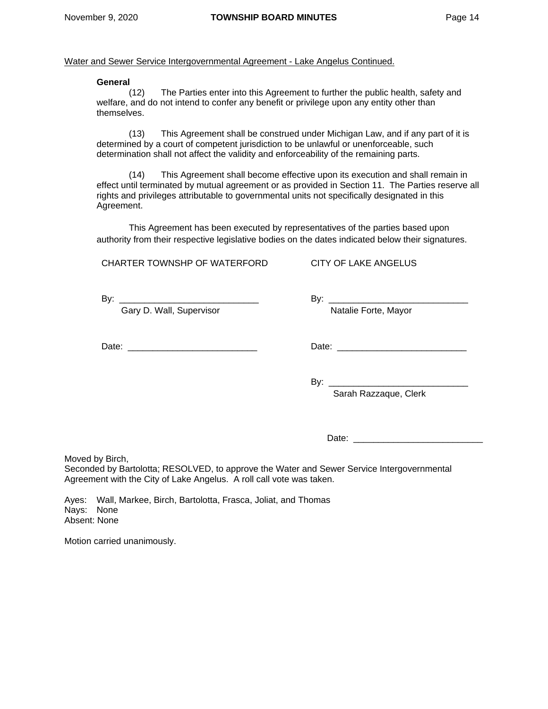#### **General**

(12) The Parties enter into this Agreement to further the public health, safety and welfare, and do not intend to confer any benefit or privilege upon any entity other than themselves.

(13) This Agreement shall be construed under Michigan Law, and if any part of it is determined by a court of competent jurisdiction to be unlawful or unenforceable, such determination shall not affect the validity and enforceability of the remaining parts.

(14) This Agreement shall become effective upon its execution and shall remain in effect until terminated by mutual agreement or as provided in Section 11. The Parties reserve all rights and privileges attributable to governmental units not specifically designated in this Agreement.

This Agreement has been executed by representatives of the parties based upon authority from their respective legislative bodies on the dates indicated below their signatures.

CHARTER TOWNSHP OF WATERFORD

By:  $\Box$ 

Gary D. Wall, Supervisor

Date: \_\_\_\_\_\_\_\_\_\_\_\_\_\_\_\_\_\_\_\_\_\_\_\_\_\_

Date: \_\_\_\_\_\_\_\_\_\_\_\_\_\_\_\_\_\_\_\_\_\_\_\_\_\_

By: \_\_\_\_\_\_\_\_\_\_\_\_\_\_\_\_\_\_\_\_\_\_\_\_\_\_\_\_ Sarah Razzaque, Clerk

Date: \_\_\_\_\_\_\_\_\_\_\_\_\_\_\_\_\_\_\_\_\_\_\_\_\_\_

Moved by Birch,

Seconded by Bartolotta; RESOLVED, to approve the Water and Sewer Service Intergovernmental Agreement with the City of Lake Angelus. A roll call vote was taken.

Ayes: Wall, Markee, Birch, Bartolotta, Frasca, Joliat, and Thomas Nays: None Absent: None

Motion carried unanimously.

Natalie Forte, Mayor

CITY OF LAKE ANGELUS

 $\mathsf{By:}$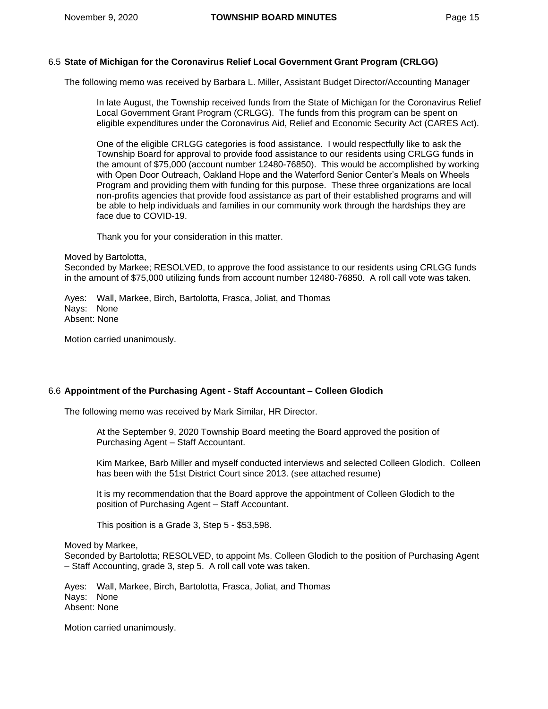# 6.5 **State of Michigan for the Coronavirus Relief Local Government Grant Program (CRLGG)**

The following memo was received by Barbara L. Miller, Assistant Budget Director/Accounting Manager

In late August, the Township received funds from the State of Michigan for the Coronavirus Relief Local Government Grant Program (CRLGG). The funds from this program can be spent on eligible expenditures under the Coronavirus Aid, Relief and Economic Security Act (CARES Act).

One of the eligible CRLGG categories is food assistance. I would respectfully like to ask the Township Board for approval to provide food assistance to our residents using CRLGG funds in the amount of \$75,000 (account number 12480-76850). This would be accomplished by working with Open Door Outreach, Oakland Hope and the Waterford Senior Center's Meals on Wheels Program and providing them with funding for this purpose. These three organizations are local non-profits agencies that provide food assistance as part of their established programs and will be able to help individuals and families in our community work through the hardships they are face due to COVID-19.

Thank you for your consideration in this matter.

Moved by Bartolotta,

Seconded by Markee; RESOLVED, to approve the food assistance to our residents using CRLGG funds in the amount of \$75,000 utilizing funds from account number 12480-76850. A roll call vote was taken.

Ayes: Wall, Markee, Birch, Bartolotta, Frasca, Joliat, and Thomas Nays: None Absent: None

Motion carried unanimously.

## 6.6 **Appointment of the Purchasing Agent - Staff Accountant – Colleen Glodich**

The following memo was received by Mark Similar, HR Director.

At the September 9, 2020 Township Board meeting the Board approved the position of Purchasing Agent – Staff Accountant.

Kim Markee, Barb Miller and myself conducted interviews and selected Colleen Glodich. Colleen has been with the 51st District Court since 2013. (see attached resume)

It is my recommendation that the Board approve the appointment of Colleen Glodich to the position of Purchasing Agent – Staff Accountant.

This position is a Grade 3, Step 5 - \$53,598.

#### Moved by Markee,

Seconded by Bartolotta; RESOLVED, to appoint Ms. Colleen Glodich to the position of Purchasing Agent – Staff Accounting, grade 3, step 5. A roll call vote was taken.

Ayes: Wall, Markee, Birch, Bartolotta, Frasca, Joliat, and Thomas Nays: None Absent: None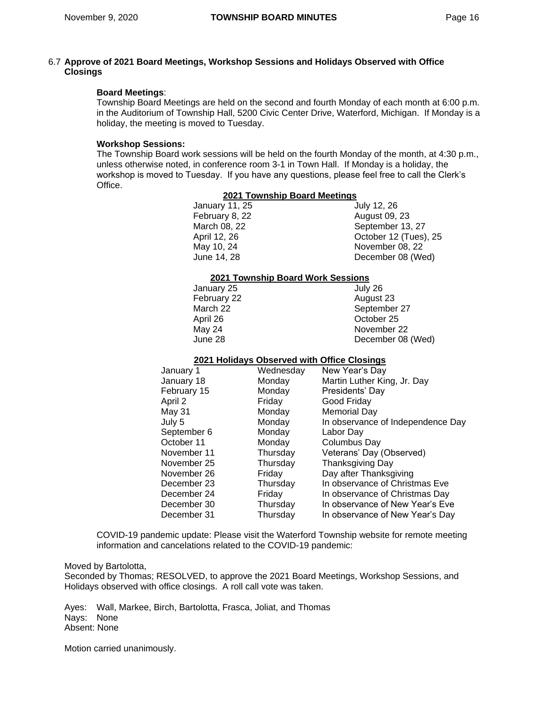## 6.7 **Approve of 2021 Board Meetings, Workshop Sessions and Holidays Observed with Office Closings**

## **Board Meetings**:

Township Board Meetings are held on the second and fourth Monday of each month at 6:00 p.m. in the Auditorium of Township Hall, 5200 Civic Center Drive, Waterford, Michigan. If Monday is a holiday, the meeting is moved to Tuesday.

## **Workshop Sessions:**

The Township Board work sessions will be held on the fourth Monday of the month, at 4:30 p.m., unless otherwise noted, in conference room 3-1 in Town Hall. If Monday is a holiday, the workshop is moved to Tuesday. If you have any questions, please feel free to call the Clerk's Office.

| 2021 Township Board Meetings |                                   |                                             |  |  |  |  |  |
|------------------------------|-----------------------------------|---------------------------------------------|--|--|--|--|--|
| January 11, 25               |                                   | July 12, 26                                 |  |  |  |  |  |
| February 8, 22               |                                   | <b>August 09, 23</b>                        |  |  |  |  |  |
| March 08, 22                 |                                   | September 13, 27                            |  |  |  |  |  |
| April 12, 26                 |                                   | October 12 (Tues), 25                       |  |  |  |  |  |
| May 10, 24                   |                                   | November 08, 22                             |  |  |  |  |  |
| June 14, 28                  |                                   | December 08 (Wed)                           |  |  |  |  |  |
|                              | 2021 Township Board Work Sessions |                                             |  |  |  |  |  |
| January 25                   |                                   | July 26                                     |  |  |  |  |  |
| February 22                  |                                   | August 23                                   |  |  |  |  |  |
| March 22                     |                                   | September 27                                |  |  |  |  |  |
| April 26                     |                                   | October 25                                  |  |  |  |  |  |
| May 24                       |                                   | November 22                                 |  |  |  |  |  |
| June 28                      |                                   | December 08 (Wed)                           |  |  |  |  |  |
|                              |                                   | 2021 Holidays Observed with Office Closings |  |  |  |  |  |
| January 1                    | Wednesday                         | New Year's Day                              |  |  |  |  |  |
| January 18                   | Monday                            | Martin Luther King, Jr. Day                 |  |  |  |  |  |
| February 15                  | Monday                            | Presidents' Day                             |  |  |  |  |  |
| April 2                      | Friday                            | Good Friday                                 |  |  |  |  |  |
| May 31                       | Monday                            | <b>Memorial Day</b>                         |  |  |  |  |  |
| July 5                       | Monday                            | In observance of Independence Day           |  |  |  |  |  |
| September 6                  | Monday                            | Labor Day                                   |  |  |  |  |  |
| October 11                   | Monday                            | Columbus Day                                |  |  |  |  |  |
| November 11                  | Thursday                          | Veterans' Day (Observed)                    |  |  |  |  |  |
| November 25                  | Thursday                          | <b>Thanksgiving Day</b>                     |  |  |  |  |  |
| November 26                  | Friday                            | Day after Thanksgiving                      |  |  |  |  |  |
| December 23                  | Thursday                          | In observance of Christmas Eve              |  |  |  |  |  |
| December 24                  | Friday                            | In observance of Christmas Day              |  |  |  |  |  |
| December 30                  | Thursday                          | In observance of New Year's Eve             |  |  |  |  |  |
| December 31                  | Thursday                          | In observance of New Year's Day             |  |  |  |  |  |
|                              |                                   |                                             |  |  |  |  |  |

COVID-19 pandemic update: Please visit the Waterford Township website for remote meeting information and cancelations related to the COVID-19 pandemic:

Moved by Bartolotta,

Seconded by Thomas; RESOLVED, to approve the 2021 Board Meetings, Workshop Sessions, and Holidays observed with office closings. A roll call vote was taken.

Ayes: Wall, Markee, Birch, Bartolotta, Frasca, Joliat, and Thomas Nays: None Absent: None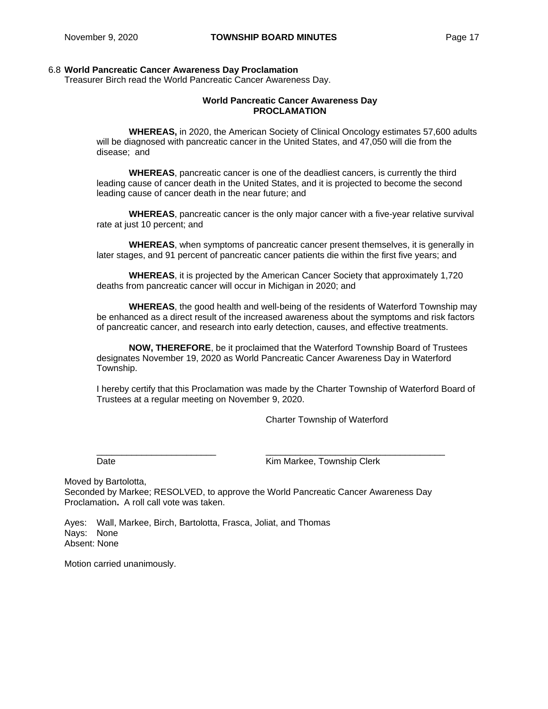## 6.8 **World Pancreatic Cancer Awareness Day Proclamation**

Treasurer Birch read the World Pancreatic Cancer Awareness Day.

## **World Pancreatic Cancer Awareness Day PROCLAMATION**

**WHEREAS,** in 2020, the American Society of Clinical Oncology estimates 57,600 adults will be diagnosed with pancreatic cancer in the United States, and 47,050 will die from the disease; and

**WHEREAS**, pancreatic cancer is one of the deadliest cancers, is currently the third leading cause of cancer death in the United States, and it is projected to become the second leading cause of cancer death in the near future; and

**WHEREAS**, pancreatic cancer is the only major cancer with a five-year relative survival rate at just 10 percent; and

**WHEREAS**, when symptoms of pancreatic cancer present themselves, it is generally in later stages, and 91 percent of pancreatic cancer patients die within the first five years; and

**WHEREAS**, it is projected by the American Cancer Society that approximately 1,720 deaths from pancreatic cancer will occur in Michigan in 2020; and

**WHEREAS**, the good health and well-being of the residents of Waterford Township may be enhanced as a direct result of the increased awareness about the symptoms and risk factors of pancreatic cancer, and research into early detection, causes, and effective treatments.

**NOW, THEREFORE**, be it proclaimed that the Waterford Township Board of Trustees designates November 19, 2020 as World Pancreatic Cancer Awareness Day in Waterford Township.

I hereby certify that this Proclamation was made by the Charter Township of Waterford Board of Trustees at a regular meeting on November 9, 2020.

\_\_\_\_\_\_\_\_\_\_\_\_\_\_\_\_\_\_\_\_\_\_\_\_ \_\_\_\_\_\_\_\_\_\_\_\_\_\_\_\_\_\_\_\_\_\_\_\_\_\_\_\_\_\_\_\_\_\_\_\_

Charter Township of Waterford

Date **Date Contract Contract Contract Contract Contract Contract Contract Contract Contract Contract Contract Contract Contract Contract Contract Contract Contract Contract Contract Contract Contract Contract Contract Co** 

Moved by Bartolotta, Seconded by Markee; RESOLVED, to approve the World Pancreatic Cancer Awareness Day Proclamation**.** A roll call vote was taken.

Ayes: Wall, Markee, Birch, Bartolotta, Frasca, Joliat, and Thomas Nays: None Absent: None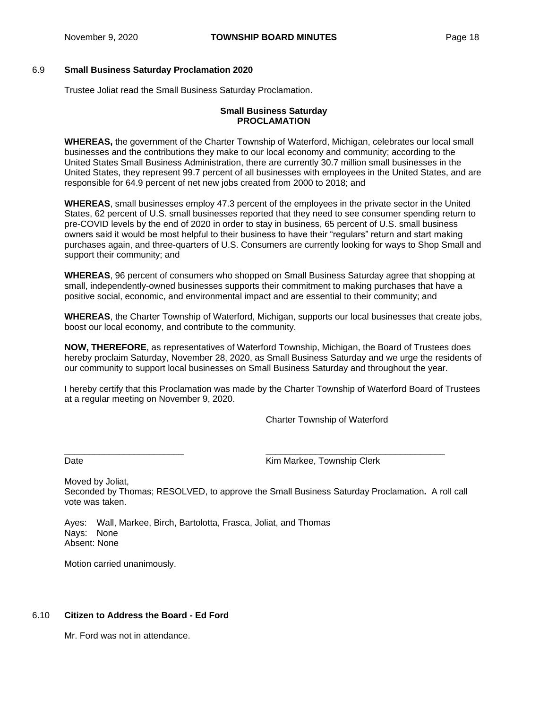## 6.9 **Small Business Saturday Proclamation 2020**

Trustee Joliat read the Small Business Saturday Proclamation.

## **Small Business Saturday PROCLAMATION**

**WHEREAS,** the government of the Charter Township of Waterford, Michigan, celebrates our local small businesses and the contributions they make to our local economy and community; according to the United States Small Business Administration, there are currently 30.7 million small businesses in the United States, they represent 99.7 percent of all businesses with employees in the United States, and are responsible for 64.9 percent of net new jobs created from 2000 to 2018; and

**WHEREAS**, small businesses employ 47.3 percent of the employees in the private sector in the United States, 62 percent of U.S. small businesses reported that they need to see consumer spending return to pre-COVID levels by the end of 2020 in order to stay in business, 65 percent of U.S. small business owners said it would be most helpful to their business to have their "regulars" return and start making purchases again, and three-quarters of U.S. Consumers are currently looking for ways to Shop Small and support their community; and

**WHEREAS**, 96 percent of consumers who shopped on Small Business Saturday agree that shopping at small, independently-owned businesses supports their commitment to making purchases that have a positive social, economic, and environmental impact and are essential to their community; and

**WHEREAS**, the Charter Township of Waterford, Michigan, supports our local businesses that create jobs, boost our local economy, and contribute to the community.

**NOW, THEREFORE**, as representatives of Waterford Township, Michigan, the Board of Trustees does hereby proclaim Saturday, November 28, 2020, as Small Business Saturday and we urge the residents of our community to support local businesses on Small Business Saturday and throughout the year.

I hereby certify that this Proclamation was made by the Charter Township of Waterford Board of Trustees at a regular meeting on November 9, 2020.

Charter Township of Waterford

 $\frac{1}{2}$  ,  $\frac{1}{2}$  ,  $\frac{1}{2}$  ,  $\frac{1}{2}$  ,  $\frac{1}{2}$  ,  $\frac{1}{2}$  ,  $\frac{1}{2}$  ,  $\frac{1}{2}$  ,  $\frac{1}{2}$  ,  $\frac{1}{2}$  ,  $\frac{1}{2}$  ,  $\frac{1}{2}$  ,  $\frac{1}{2}$  ,  $\frac{1}{2}$  ,  $\frac{1}{2}$  ,  $\frac{1}{2}$  ,  $\frac{1}{2}$  ,  $\frac{1}{2}$  ,  $\frac{1$ Date **Contract Contract Contract Contract Contract Contract Contract Contract Contract Contract Contract Contract Contract Contract Contract Contract Contract Contract Contract Contract Contract Contract Contract Contract** 

Moved by Joliat, Seconded by Thomas; RESOLVED, to approve the Small Business Saturday Proclamation**.** A roll call vote was taken.

Ayes: Wall, Markee, Birch, Bartolotta, Frasca, Joliat, and Thomas Nays: None Absent: None

Motion carried unanimously.

# 6.10 **Citizen to Address the Board - Ed Ford**

Mr. Ford was not in attendance.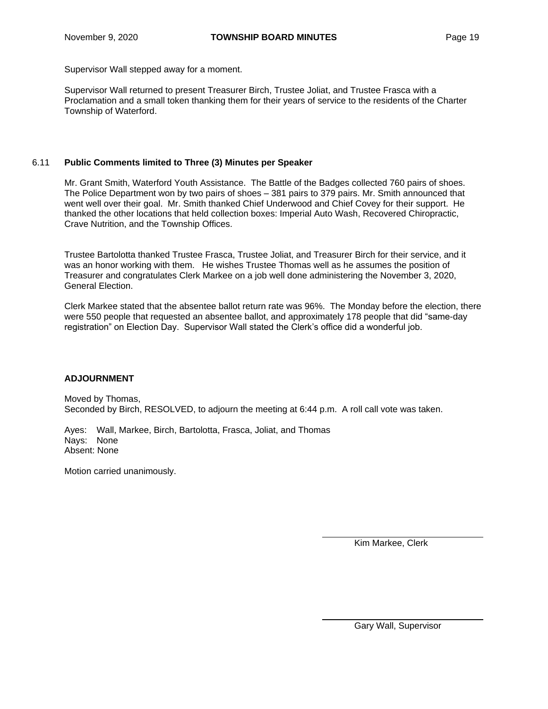Supervisor Wall stepped away for a moment.

Supervisor Wall returned to present Treasurer Birch, Trustee Joliat, and Trustee Frasca with a Proclamation and a small token thanking them for their years of service to the residents of the Charter Township of Waterford.

## 6.11 **Public Comments limited to Three (3) Minutes per Speaker**

Mr. Grant Smith, Waterford Youth Assistance. The Battle of the Badges collected 760 pairs of shoes. The Police Department won by two pairs of shoes – 381 pairs to 379 pairs. Mr. Smith announced that went well over their goal. Mr. Smith thanked Chief Underwood and Chief Covey for their support. He thanked the other locations that held collection boxes: Imperial Auto Wash, Recovered Chiropractic, Crave Nutrition, and the Township Offices.

Trustee Bartolotta thanked Trustee Frasca, Trustee Joliat, and Treasurer Birch for their service, and it was an honor working with them. He wishes Trustee Thomas well as he assumes the position of Treasurer and congratulates Clerk Markee on a job well done administering the November 3, 2020, General Election.

Clerk Markee stated that the absentee ballot return rate was 96%. The Monday before the election, there were 550 people that requested an absentee ballot, and approximately 178 people that did "same-day registration" on Election Day. Supervisor Wall stated the Clerk's office did a wonderful job.

## **ADJOURNMENT**

Moved by Thomas, Seconded by Birch, RESOLVED, to adjourn the meeting at 6:44 p.m. A roll call vote was taken.

Ayes: Wall, Markee, Birch, Bartolotta, Frasca, Joliat, and Thomas Nays: None Absent: None

Motion carried unanimously.

Kim Markee, Clerk

Gary Wall, Supervisor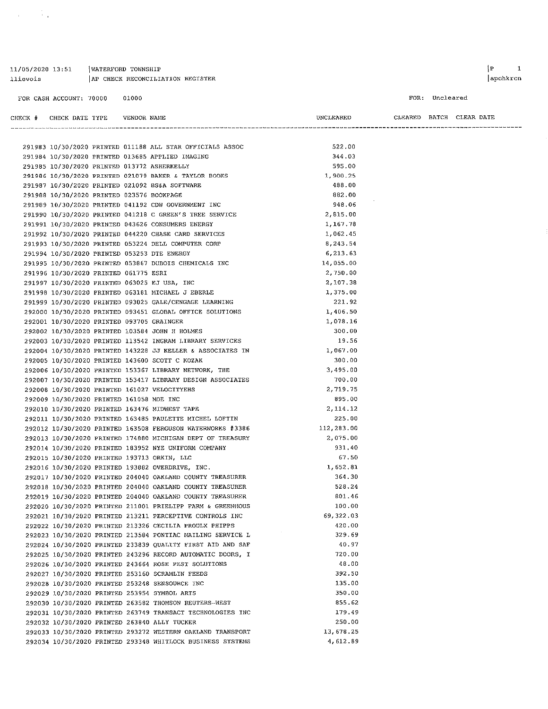| llievois |                                           |       | AP CHECK RECONCILIATION REGISTER                                                                            |                                    |                | apchkrcn |
|----------|-------------------------------------------|-------|-------------------------------------------------------------------------------------------------------------|------------------------------------|----------------|----------|
|          | FOR CASH ACCOUNT: 70000                   | 01000 |                                                                                                             |                                    | FOR: Uncleared |          |
|          |                                           |       |                                                                                                             | UNCLEARED CLEARED BATCH CLEAR DATE |                |          |
|          |                                           |       |                                                                                                             |                                    |                |          |
|          |                                           |       | 291983 10/30/2020 PRINTED 011188 ALL STAR OFFICIALS ASSOC                                                   | 522,00                             |                |          |
|          |                                           |       | 291984 10/30/2020 PRINTED 013685 APPLIED IMAGING                                                            | 344.03                             |                |          |
|          |                                           |       | 291985 10/30/2020 PRINTED 013772 ASHERKELLY                                                                 | 595.00                             |                |          |
|          |                                           |       | 291986 10/30/2020 PRINTED 021079 BAKER & TAYLOR BOOKS                                                       | 1 900 25                           |                |          |
|          |                                           |       | 291987 10/30/2020 PRINTED 021092 BS&A SOFTWARE                                                              | 488.00                             |                |          |
|          | 291988 10/30/2020 PRINTED 023576 BOOKPAGE |       |                                                                                                             | 882.00                             |                |          |
|          |                                           |       | 291989 10/30/2020 PRINTED 041192 CDW GOVERNMENT INC                                                         | 948.06                             |                |          |
|          |                                           |       | 291990 10/30/2020 PRINTED 041218 C GREEN'S TREE SERVICE                                                     | 2,815.00                           |                |          |
|          |                                           |       | 291991 10/30/2020 PRINTED 043626 CONSUMERS ENERGY                                                           | 1.167.78                           |                |          |
|          |                                           |       | 291992 10/30/2020 PRINTED 044220 CHASE CARD SERVICES                                                        | 1,062.45                           |                |          |
|          |                                           |       | 291993 10/30/2020 PRINTED 053224 DELL COMPUTER CORP                                                         | 8.243.54                           |                |          |
|          |                                           |       | 291994 10/30/2020 PRINTED 053253 DTE ENERGY                                                                 | 6,213.63                           |                |          |
|          |                                           |       | 291995 10/30/2020 PRINTED 053867 DUBOIS CHEMICALS INC                                                       | 14,055,00                          |                |          |
|          | 291996 10/30/2020 PRINTED 061775 ESRI     |       |                                                                                                             | 2,750.00                           |                |          |
|          |                                           |       | 291997 10/30/2020 PRINTED 063025 EJ USA, INC                                                                | 2.107.38                           |                |          |
|          |                                           |       | 291998 10/30/2020 PRINTED 063181 MICHAEL J EBERLE<br>291999 10/30/2020 PRINTED 093025 GALE/CENGAGE LEARNING | 1,375.00<br>221.92                 |                |          |
|          |                                           |       | 292000 10/30/2020 PRINTED 093451 GLOBAL OFFICE SOLUTIONS                                                    | 1,406.50                           |                |          |
|          | 292001 10/30/2020 PRINTED 093705 GRAINGER |       |                                                                                                             | 1,078.16                           |                |          |
|          |                                           |       | 292002 10/30/2020 PRINTED 103584 JOHN H HOLMES                                                              | 300.00                             |                |          |
|          |                                           |       | 292003 10/30/2020 PRINTED 113542 INGRAM LIBRARY SERVICES                                                    | 19.56                              |                |          |
|          |                                           |       | 292004 10/30/2020 PRINTED 143228 JJ KELLER & ASSOCIATES IN                                                  | 1,067.00                           |                |          |
|          |                                           |       | 292005 10/30/2020 PRINTED 143600 SCOTT C KOZAK                                                              | 300.00                             |                |          |
|          |                                           |       | 292006 10/30/2020 PRINTED 153367 LIBRARY NETWORK, THE                                                       | 3,495.00                           |                |          |
|          |                                           |       | 292007 10/30/2020 PRINTED 153417 LIBRARY DESIGN ASSOCIATES                                                  | 700.00                             |                |          |
|          |                                           |       | 292008 10/30/2020 PRINTED 161027 VELOCITYEHS                                                                | 2,719.75                           |                |          |
|          | 292009 10/30/2020 PRINTED 161058 MDE INC  |       |                                                                                                             | 895.00                             |                |          |
|          |                                           |       | 292010 10/30/2020 PRINTED 163476 MIDWEST TAPE                                                               | 2,114.12                           |                |          |
|          |                                           |       | 292011 10/30/2020 PRINTED 163485 PAULETTE MICHEL LOFTIN                                                     | 225.00                             |                |          |
|          |                                           |       | 292012 10/30/2020 PRINTED 163508 FERGUSON WATERWORKS #3386                                                  | 112,283.00                         |                |          |
|          |                                           |       | 292013 10/30/2020 PRINTED 174880 MICHIGAN DEPT OF TREASURY                                                  | 2,075,00                           |                |          |
|          |                                           |       | 292014 10/30/2020 PRINTED 183952 NYE UNIFORM COMPANY                                                        | 931.40                             |                |          |
|          |                                           |       | 292015 10/30/2020 PRINTED 193713 ORKIN, LLC                                                                 | 67.50                              |                |          |
|          |                                           |       | 292016 10/30/2020 PRINTED 193882 OVERDRIVE, INC.                                                            | 1,652.81                           |                |          |
|          |                                           |       | 292017 10/30/2020 PRINTED 204040 OAKLAND COUNTY TREASURER                                                   | 364.30                             |                |          |
|          |                                           |       | 292018 10/30/2020 PRINTED 204040 OAKLAND COUNTY TREASURER                                                   | 528.24                             |                |          |
|          |                                           |       | 292019 10/30/2020 PRINTED 204040 OAKLAND COUNTY TREASURER                                                   | 801.46                             |                |          |
|          |                                           |       | 292020 10/30/2020 PRINTED 211001 PRIELIPP FARM & GREENHOUS                                                  | 100.00                             |                |          |
|          |                                           |       | 292021 10/30/2020 PRINTED 213211 PERCEPTIVE CONTROLS INC                                                    | 69, 322, 03                        |                |          |
|          |                                           |       | 292022 10/30/2020 PRINTED 213326 CECILIA PROULX PHIPPS                                                      | 420.00                             |                |          |
|          |                                           |       | 292023 10/30/2020 PRINTED 213584 PONTIAC MAILING SERVICE L                                                  | 329.69                             |                |          |
|          |                                           |       | 292024 10/30/2020 PRINTED 233839 QUALITY FIRST AID AND SAF                                                  | 40.97                              |                |          |
|          |                                           |       | 292025 10/30/2020 PRINTED 243296 RECORD AUTOMATIC DOORS, I                                                  | 720.00                             |                |          |
|          |                                           |       | 292026 10/30/2020 PRINTED 243664 ROSE PEST SOLUTIONS                                                        | 48.00                              |                |          |
|          |                                           |       | 292027 10/30/2020 PRINTED 253160 SCRAMLIN FEEDS                                                             | 392.50                             |                |          |
|          |                                           |       | 292028 10/30/2020 PRINTED 253248 SENSOURCE INC                                                              | 135.00                             |                |          |
|          |                                           |       | 292029 10/30/2020 PRINTED 253954 SYMBOL ARTS                                                                | 350.00                             |                |          |
|          |                                           |       | 292030 10/30/2020 PRINTED 263582 THOMSON REUTERS-WEST                                                       | 855.62                             |                |          |
|          |                                           |       | 292031 10/30/2020 PRINTED 263749 TRANSACT TECHNOLOGIES INC                                                  | 179.49<br>250.00                   |                |          |
|          |                                           |       | 292032 10/30/2020 PRINTED 263840 ALLY TUCKER<br>292033 10/30/2020 PRINTED 293272 WESTERN OAKLAND TRANSPORT  | 13,678.25                          |                |          |
|          |                                           |       |                                                                                                             | 4,612.89                           |                |          |
|          |                                           |       | 292034 10/30/2020 PRINTED 293348 WHITLOCK BUSINESS SYSTEMS                                                  |                                    |                |          |

 $|P|$  $\mathbf{1}$ 

# 11/05/2020 13:51 | WATERFORD TOWNSHIP

 $\label{eq:2} \frac{1}{\sqrt{2}}\sum_{i=1}^n\frac{1}{\sqrt{2}}\sum_{i=1}^n\frac{1}{\sqrt{2}}\sum_{i=1}^n\frac{1}{\sqrt{2}}\sum_{i=1}^n\frac{1}{\sqrt{2}}\sum_{i=1}^n\frac{1}{\sqrt{2}}\sum_{i=1}^n\frac{1}{\sqrt{2}}\sum_{i=1}^n\frac{1}{\sqrt{2}}\sum_{i=1}^n\frac{1}{\sqrt{2}}\sum_{i=1}^n\frac{1}{\sqrt{2}}\sum_{i=1}^n\frac{1}{\sqrt{2}}\sum_{i=1}^n\frac{1$